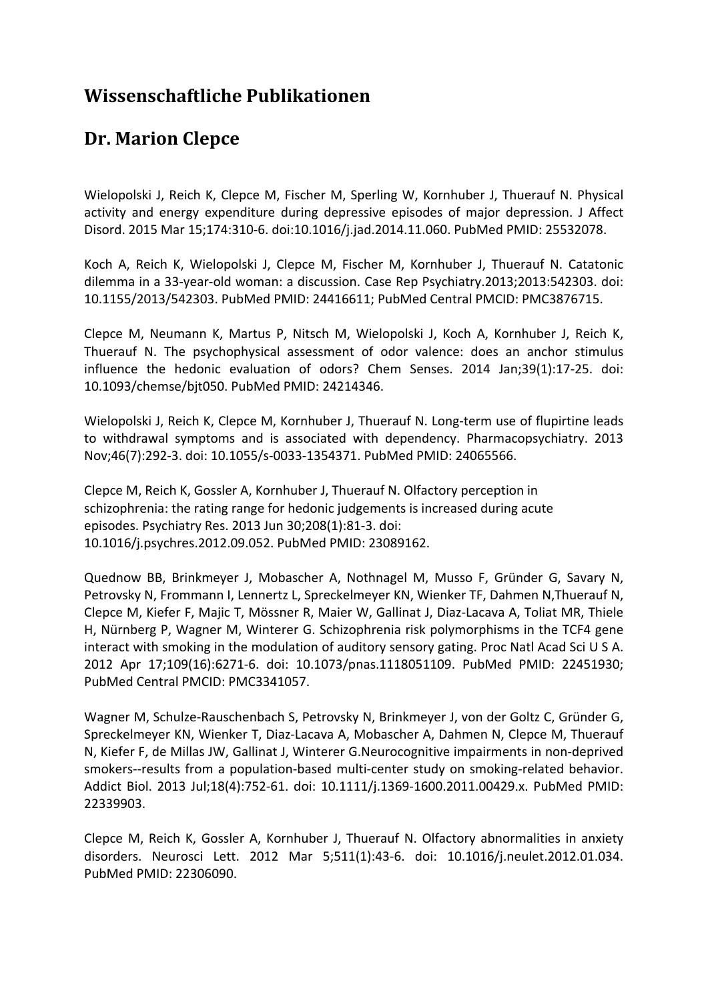## **Wissenschaftliche Publikationen**

## **Dr. Marion Clepce**

Wielopolski J, Reich K, Clepce M, Fischer M, Sperling W, Kornhuber J, Thuerauf N. Physical activity and energy expenditure during depressive episodes of major depression. J Affect Disord. 2015 Mar 15;174:310-6. doi:10.1016/j.jad.2014.11.060. PubMed PMID: 25532078.

Koch A, Reich K, Wielopolski J, Clepce M, Fischer M, Kornhuber J, Thuerauf N. Catatonic dilemma in a 33-year-old woman: a discussion. Case Rep Psychiatry.2013;2013:542303. doi: 10.1155/2013/542303. PubMed PMID: 24416611; PubMed Central PMCID: PMC3876715.

Clepce M, Neumann K, Martus P, Nitsch M, Wielopolski J, Koch A, Kornhuber J, Reich K, Thuerauf N. The psychophysical assessment of odor valence: does an anchor stimulus influence the hedonic evaluation of odors? Chem Senses. 2014 Jan;39(1):17-25. doi: 10.1093/chemse/bjt050. PubMed PMID: 24214346.

Wielopolski J, Reich K, Clepce M, Kornhuber J, Thuerauf N. Long-term use of flupirtine leads to withdrawal symptoms and is associated with dependency. Pharmacopsychiatry. 2013 Nov;46(7):292-3. doi: 10.1055/s-0033-1354371. PubMed PMID: 24065566.

Clepce M, Reich K, Gossler A, Kornhuber J, Thuerauf N. Olfactory perception in schizophrenia: the rating range for hedonic judgements is increased during acute episodes. Psychiatry Res. 2013 Jun 30;208(1):81-3. doi: 10.1016/j.psychres.2012.09.052. PubMed PMID: 23089162.

Quednow BB, Brinkmeyer J, Mobascher A, Nothnagel M, Musso F, Gründer G, Savary N, Petrovsky N, Frommann I, Lennertz L, Spreckelmeyer KN, Wienker TF, Dahmen N,Thuerauf N, Clepce M, Kiefer F, Majic T, Mössner R, Maier W, Gallinat J, Diaz-Lacava A, Toliat MR, Thiele H, Nürnberg P, Wagner M, Winterer G. Schizophrenia risk polymorphisms in the TCF4 gene interact with smoking in the modulation of auditory sensory gating. Proc Natl Acad Sci U S A. 2012 Apr 17;109(16):6271-6. doi: 10.1073/pnas.1118051109. PubMed PMID: 22451930; PubMed Central PMCID: PMC3341057.

Wagner M, Schulze-Rauschenbach S, Petrovsky N, Brinkmeyer J, von der Goltz C, Gründer G, Spreckelmeyer KN, Wienker T, Diaz-Lacava A, Mobascher A, Dahmen N, Clepce M, Thuerauf N, Kiefer F, de Millas JW, Gallinat J, Winterer G.Neurocognitive impairments in non-deprived smokers--results from a population-based multi-center study on smoking-related behavior. Addict Biol. 2013 Jul;18(4):752-61. doi: 10.1111/j.1369-1600.2011.00429.x. PubMed PMID: 22339903.

Clepce M, Reich K, Gossler A, Kornhuber J, Thuerauf N. Olfactory abnormalities in anxiety disorders. Neurosci Lett. 2012 Mar 5;511(1):43-6. doi: 10.1016/j.neulet.2012.01.034. PubMed PMID: 22306090.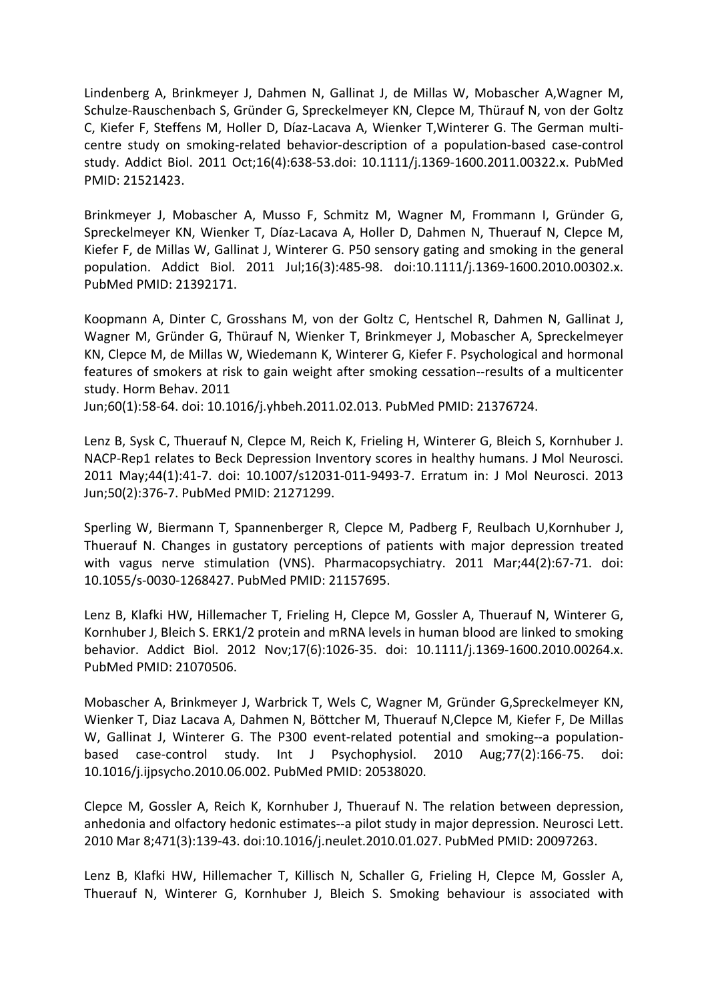Lindenberg A, Brinkmeyer J, Dahmen N, Gallinat J, de Millas W, Mobascher A,Wagner M, Schulze-Rauschenbach S, Gründer G, Spreckelmeyer KN, Clepce M, Thürauf N, von der Goltz C, Kiefer F, Steffens M, Holler D, Díaz-Lacava A, Wienker T,Winterer G. The German multicentre study on smoking-related behavior-description of a population-based case-control study. Addict Biol. 2011 Oct;16(4):638-53.doi: 10.1111/j.1369-1600.2011.00322.x. PubMed PMID: 21521423.

Brinkmeyer J, Mobascher A, Musso F, Schmitz M, Wagner M, Frommann I, Gründer G, Spreckelmeyer KN, Wienker T, Díaz-Lacava A, Holler D, Dahmen N, Thuerauf N, Clepce M, Kiefer F, de Millas W, Gallinat J, Winterer G. P50 sensory gating and smoking in the general population. Addict Biol. 2011 Jul;16(3):485-98. doi:10.1111/j.1369-1600.2010.00302.x. PubMed PMID: 21392171.

Koopmann A, Dinter C, Grosshans M, von der Goltz C, Hentschel R, Dahmen N, Gallinat J, Wagner M, Gründer G, Thürauf N, Wienker T, Brinkmeyer J, Mobascher A, Spreckelmeyer KN, Clepce M, de Millas W, Wiedemann K, Winterer G, Kiefer F. Psychological and hormonal features of smokers at risk to gain weight after smoking cessation--results of a multicenter study. Horm Behav. 2011

Jun;60(1):58-64. doi: 10.1016/j.yhbeh.2011.02.013. PubMed PMID: 21376724.

Lenz B, Sysk C, Thuerauf N, Clepce M, Reich K, Frieling H, Winterer G, Bleich S, Kornhuber J. NACP-Rep1 relates to Beck Depression Inventory scores in healthy humans. J Mol Neurosci. 2011 May;44(1):41-7. doi: 10.1007/s12031-011-9493-7. Erratum in: J Mol Neurosci. 2013 Jun;50(2):376-7. PubMed PMID: 21271299.

Sperling W, Biermann T, Spannenberger R, Clepce M, Padberg F, Reulbach U,Kornhuber J, Thuerauf N. Changes in gustatory perceptions of patients with major depression treated with vagus nerve stimulation (VNS). Pharmacopsychiatry. 2011 Mar;44(2):67-71. doi: 10.1055/s-0030-1268427. PubMed PMID: 21157695.

Lenz B, Klafki HW, Hillemacher T, Frieling H, Clepce M, Gossler A, Thuerauf N, Winterer G, Kornhuber J, Bleich S. ERK1/2 protein and mRNA levels in human blood are linked to smoking behavior. Addict Biol. 2012 Nov;17(6):1026-35. doi: 10.1111/j.1369-1600.2010.00264.x. PubMed PMID: 21070506.

Mobascher A, Brinkmeyer J, Warbrick T, Wels C, Wagner M, Gründer G,Spreckelmeyer KN, Wienker T, Diaz Lacava A, Dahmen N, Böttcher M, Thuerauf N,Clepce M, Kiefer F, De Millas W, Gallinat J, Winterer G. The P300 event-related potential and smoking--a populationbased case-control study. Int J Psychophysiol. 2010 Aug;77(2):166-75. doi: 10.1016/j.ijpsycho.2010.06.002. PubMed PMID: 20538020.

Clepce M, Gossler A, Reich K, Kornhuber J, Thuerauf N. The relation between depression, anhedonia and olfactory hedonic estimates--a pilot study in major depression. Neurosci Lett. 2010 Mar 8;471(3):139-43. doi:10.1016/j.neulet.2010.01.027. PubMed PMID: 20097263.

Lenz B, Klafki HW, Hillemacher T, Killisch N, Schaller G, Frieling H, Clepce M, Gossler A, Thuerauf N, Winterer G, Kornhuber J, Bleich S. Smoking behaviour is associated with